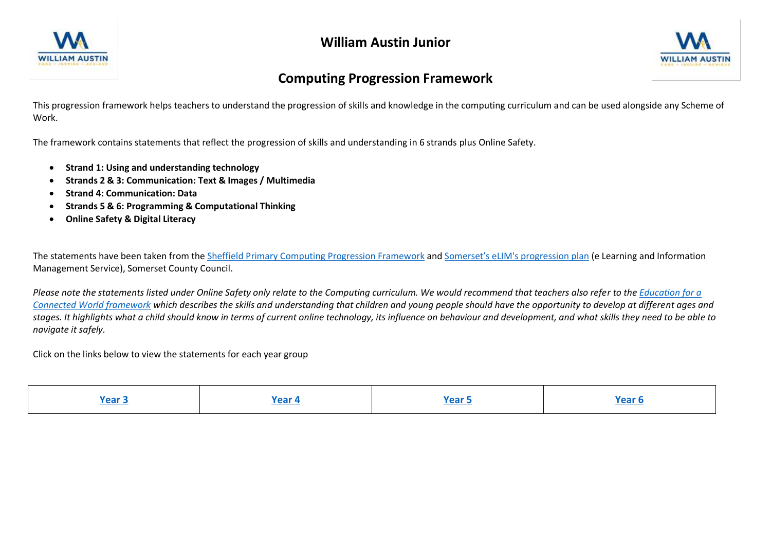



## **Computing Progression Framework**

This progression framework helps teachers to understand the progression of skills and knowledge in the computing curriculum and can be used alongside any Scheme of Work.

The framework contains statements that reflect the progression of skills and understanding in 6 strands plus Online Safety.

- **Strand 1: Using and understanding technology**
- **Strands 2 & 3: Communication: Text & Images / Multimedia**
- **Strand 4: Communication: Data**
- **Strands 5 & 6: Programming & Computational Thinking**
- **Online Safety & Digital Literacy**

The statements have been taken from the [Sheffield Primary Computing Progression Framework](http://sheffieldclc.net/wp-content/uploads/2015/05/SheffieldComputingProgression_SoW.pdf) and [Somerset's eLIM's progression plan](https://www.stem.org.uk/elibrary/resource/35102) (e Learning and Information Management Service), Somerset County Council.

*Please note the statements listed under Online Safety only relate to the Computing curriculum. We would recommend that teachers also refer to the [Education for a](https://assets.publishing.service.gov.uk/government/uploads/system/uploads/attachment_data/file/683895/Education_for_a_connected_world_PDF.PDF)  [Connected World framework](https://assets.publishing.service.gov.uk/government/uploads/system/uploads/attachment_data/file/683895/Education_for_a_connected_world_PDF.PDF) which describes the skills and understanding that children and young people should have the opportunity to develop at different ages and stages. It highlights what a child should know in terms of current online technology, its influence on behaviour and development, and what skills they need to be able to navigate it safely.* 

Click on the links below to view the statements for each year group

| . | ノヘヘド<br>. GO 7 |  |  |
|---|----------------|--|--|
|---|----------------|--|--|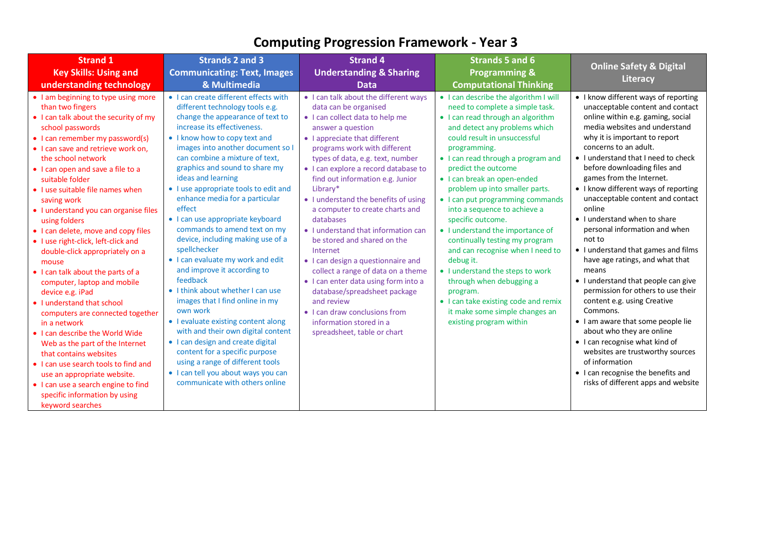<span id="page-1-1"></span><span id="page-1-0"></span>

| <b>Strand 1</b>                                                                                                                                                                                                                                                                                                                                                                                                                                                                                                                                                                                                                                                                                                                                                                                                                                                                                                                                                 | <b>Strands 2 and 3</b>                                                                                                                                                                                                                                                                                                                                                                                                                                                                                                                                                                                                                                                                                                                                                                                                                                                                                                                                         | <b>Strand 4</b>                                                                                                                                                                                                                                                                                                                                                                                                                                                                                                                                                                                                                                                                                                                                            | Strands 5 and 6                                                                                                                                                                                                                                                                                                                                                                                                                                                                                                                                                                                                                                                                                                               | <b>Online Safety &amp; Digital</b>                                                                                                                                                                                                                                                                                                                                                                                                                                                                                                                                                                                                                                                                                                                                                                                                                                                                                             |
|-----------------------------------------------------------------------------------------------------------------------------------------------------------------------------------------------------------------------------------------------------------------------------------------------------------------------------------------------------------------------------------------------------------------------------------------------------------------------------------------------------------------------------------------------------------------------------------------------------------------------------------------------------------------------------------------------------------------------------------------------------------------------------------------------------------------------------------------------------------------------------------------------------------------------------------------------------------------|----------------------------------------------------------------------------------------------------------------------------------------------------------------------------------------------------------------------------------------------------------------------------------------------------------------------------------------------------------------------------------------------------------------------------------------------------------------------------------------------------------------------------------------------------------------------------------------------------------------------------------------------------------------------------------------------------------------------------------------------------------------------------------------------------------------------------------------------------------------------------------------------------------------------------------------------------------------|------------------------------------------------------------------------------------------------------------------------------------------------------------------------------------------------------------------------------------------------------------------------------------------------------------------------------------------------------------------------------------------------------------------------------------------------------------------------------------------------------------------------------------------------------------------------------------------------------------------------------------------------------------------------------------------------------------------------------------------------------------|-------------------------------------------------------------------------------------------------------------------------------------------------------------------------------------------------------------------------------------------------------------------------------------------------------------------------------------------------------------------------------------------------------------------------------------------------------------------------------------------------------------------------------------------------------------------------------------------------------------------------------------------------------------------------------------------------------------------------------|--------------------------------------------------------------------------------------------------------------------------------------------------------------------------------------------------------------------------------------------------------------------------------------------------------------------------------------------------------------------------------------------------------------------------------------------------------------------------------------------------------------------------------------------------------------------------------------------------------------------------------------------------------------------------------------------------------------------------------------------------------------------------------------------------------------------------------------------------------------------------------------------------------------------------------|
| <b>Key Skills: Using and</b>                                                                                                                                                                                                                                                                                                                                                                                                                                                                                                                                                                                                                                                                                                                                                                                                                                                                                                                                    | <b>Communicating: Text, Images</b>                                                                                                                                                                                                                                                                                                                                                                                                                                                                                                                                                                                                                                                                                                                                                                                                                                                                                                                             | <b>Understanding &amp; Sharing</b>                                                                                                                                                                                                                                                                                                                                                                                                                                                                                                                                                                                                                                                                                                                         | <b>Programming &amp;</b>                                                                                                                                                                                                                                                                                                                                                                                                                                                                                                                                                                                                                                                                                                      |                                                                                                                                                                                                                                                                                                                                                                                                                                                                                                                                                                                                                                                                                                                                                                                                                                                                                                                                |
| understanding technology                                                                                                                                                                                                                                                                                                                                                                                                                                                                                                                                                                                                                                                                                                                                                                                                                                                                                                                                        | & Multimedia                                                                                                                                                                                                                                                                                                                                                                                                                                                                                                                                                                                                                                                                                                                                                                                                                                                                                                                                                   | <b>Data</b>                                                                                                                                                                                                                                                                                                                                                                                                                                                                                                                                                                                                                                                                                                                                                | <b>Computational Thinking</b>                                                                                                                                                                                                                                                                                                                                                                                                                                                                                                                                                                                                                                                                                                 | Literacy                                                                                                                                                                                                                                                                                                                                                                                                                                                                                                                                                                                                                                                                                                                                                                                                                                                                                                                       |
| • I am beginning to type using more<br>than two fingers<br>• I can talk about the security of my<br>school passwords<br>• I can remember my password(s)<br>• I can save and retrieve work on,<br>the school network<br>• I can open and save a file to a<br>suitable folder<br>• I use suitable file names when<br>saving work<br>• I understand you can organise files<br>using folders<br>• I can delete, move and copy files<br>. I use right-click, left-click and<br>double-click appropriately on a<br>mouse<br>• I can talk about the parts of a<br>computer, laptop and mobile<br>device e.g. iPad<br>• I understand that school<br>computers are connected together<br>in a network<br>• I can describe the World Wide<br>Web as the part of the Internet<br>that contains websites<br>• I can use search tools to find and<br>use an appropriate website.<br>• I can use a search engine to find<br>specific information by using<br>keyword searches | • I can create different effects with<br>different technology tools e.g.<br>change the appearance of text to<br>increase its effectiveness.<br>• I know how to copy text and<br>images into another document so I<br>can combine a mixture of text.<br>graphics and sound to share my<br>ideas and learning<br>• I use appropriate tools to edit and<br>enhance media for a particular<br>effect<br>• I can use appropriate keyboard<br>commands to amend text on my<br>device, including making use of a<br>spellchecker<br>• I can evaluate my work and edit<br>and improve it according to<br>feedback<br>• I think about whether I can use<br>images that I find online in my<br>own work<br>• I evaluate existing content along<br>with and their own digital content<br>• I can design and create digital<br>content for a specific purpose<br>using a range of different tools<br>· I can tell you about ways you can<br>communicate with others online | • I can talk about the different ways<br>data can be organised<br>• I can collect data to help me<br>answer a question<br>• I appreciate that different<br>programs work with different<br>types of data, e.g. text, number<br>· I can explore a record database to<br>find out information e.g. Junior<br>Library*<br>• I understand the benefits of using<br>a computer to create charts and<br>databases<br>• I understand that information can<br>be stored and shared on the<br>Internet<br>• I can design a questionnaire and<br>collect a range of data on a theme<br>• I can enter data using form into a<br>database/spreadsheet package<br>and review<br>• I can draw conclusions from<br>information stored in a<br>spreadsheet, table or chart | • I can describe the algorithm I will<br>need to complete a simple task.<br>• I can read through an algorithm<br>and detect any problems which<br>could result in unsuccessful<br>programming.<br>• I can read through a program and<br>predict the outcome<br>• I can break an open-ended<br>problem up into smaller parts.<br>• I can put programming commands<br>into a sequence to achieve a<br>specific outcome.<br>• I understand the importance of<br>continually testing my program<br>and can recognise when I need to<br>debug it.<br>• I understand the steps to work<br>through when debugging a<br>program.<br>• I can take existing code and remix<br>it make some simple changes an<br>existing program within | • I know different ways of reporting<br>unacceptable content and contact<br>online within e.g. gaming, social<br>media websites and understand<br>why it is important to report<br>concerns to an adult.<br>• I understand that I need to check<br>before downloading files and<br>games from the Internet.<br>• I know different ways of reporting<br>unacceptable content and contact<br>online<br>• I understand when to share<br>personal information and when<br>not to<br>• I understand that games and films<br>have age ratings, and what that<br>means<br>• I understand that people can give<br>permission for others to use their<br>content e.g. using Creative<br>Commons.<br>• I am aware that some people lie<br>about who they are online<br>• I can recognise what kind of<br>websites are trustworthy sources<br>of information<br>• I can recognise the benefits and<br>risks of different apps and website |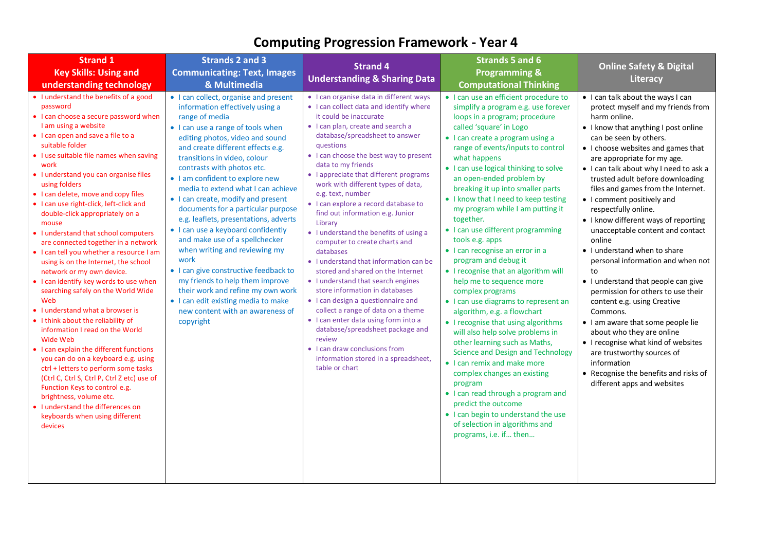| <b>Strand 1</b>                                                                                                                                                                                                                                                                                                                                                                                                                                                                                                                                                                                                                                                                                                                                                                                                                                                                                                                                                                                                                                                                                                                                              | <b>Strands 2 and 3</b>                                                                                                                                                                                                                                                                                                                                                                                                                                                                                                                                                                                                                                                                                                                                                                        | <b>Strand 4</b>                                                                                                                                                                                                                                                                                                                                                                                                                                                                                                                                                                                                                                                                                                                                                                                                                                                                                                                                                          | <b>Strands 5 and 6</b>                                                                                                                                                                                                                                                                                                                                                                                                                                                                                                                                                                                                                                                                                                                                                                                                                                                                                                                                                                                                                                                                                           |                                                                                                                                                                                                                                                                                                                                                                                                                                                                                                                                                                                                                                                                                                                                                                                                                                                                                                                                 |
|--------------------------------------------------------------------------------------------------------------------------------------------------------------------------------------------------------------------------------------------------------------------------------------------------------------------------------------------------------------------------------------------------------------------------------------------------------------------------------------------------------------------------------------------------------------------------------------------------------------------------------------------------------------------------------------------------------------------------------------------------------------------------------------------------------------------------------------------------------------------------------------------------------------------------------------------------------------------------------------------------------------------------------------------------------------------------------------------------------------------------------------------------------------|-----------------------------------------------------------------------------------------------------------------------------------------------------------------------------------------------------------------------------------------------------------------------------------------------------------------------------------------------------------------------------------------------------------------------------------------------------------------------------------------------------------------------------------------------------------------------------------------------------------------------------------------------------------------------------------------------------------------------------------------------------------------------------------------------|--------------------------------------------------------------------------------------------------------------------------------------------------------------------------------------------------------------------------------------------------------------------------------------------------------------------------------------------------------------------------------------------------------------------------------------------------------------------------------------------------------------------------------------------------------------------------------------------------------------------------------------------------------------------------------------------------------------------------------------------------------------------------------------------------------------------------------------------------------------------------------------------------------------------------------------------------------------------------|------------------------------------------------------------------------------------------------------------------------------------------------------------------------------------------------------------------------------------------------------------------------------------------------------------------------------------------------------------------------------------------------------------------------------------------------------------------------------------------------------------------------------------------------------------------------------------------------------------------------------------------------------------------------------------------------------------------------------------------------------------------------------------------------------------------------------------------------------------------------------------------------------------------------------------------------------------------------------------------------------------------------------------------------------------------------------------------------------------------|---------------------------------------------------------------------------------------------------------------------------------------------------------------------------------------------------------------------------------------------------------------------------------------------------------------------------------------------------------------------------------------------------------------------------------------------------------------------------------------------------------------------------------------------------------------------------------------------------------------------------------------------------------------------------------------------------------------------------------------------------------------------------------------------------------------------------------------------------------------------------------------------------------------------------------|
| <b>Key Skills: Using and</b>                                                                                                                                                                                                                                                                                                                                                                                                                                                                                                                                                                                                                                                                                                                                                                                                                                                                                                                                                                                                                                                                                                                                 | <b>Communicating: Text, Images</b>                                                                                                                                                                                                                                                                                                                                                                                                                                                                                                                                                                                                                                                                                                                                                            |                                                                                                                                                                                                                                                                                                                                                                                                                                                                                                                                                                                                                                                                                                                                                                                                                                                                                                                                                                          | <b>Programming &amp;</b>                                                                                                                                                                                                                                                                                                                                                                                                                                                                                                                                                                                                                                                                                                                                                                                                                                                                                                                                                                                                                                                                                         | <b>Online Safety &amp; Digital</b>                                                                                                                                                                                                                                                                                                                                                                                                                                                                                                                                                                                                                                                                                                                                                                                                                                                                                              |
| understanding technology                                                                                                                                                                                                                                                                                                                                                                                                                                                                                                                                                                                                                                                                                                                                                                                                                                                                                                                                                                                                                                                                                                                                     | & Multimedia                                                                                                                                                                                                                                                                                                                                                                                                                                                                                                                                                                                                                                                                                                                                                                                  | <b>Understanding &amp; Sharing Data</b>                                                                                                                                                                                                                                                                                                                                                                                                                                                                                                                                                                                                                                                                                                                                                                                                                                                                                                                                  | <b>Computational Thinking</b>                                                                                                                                                                                                                                                                                                                                                                                                                                                                                                                                                                                                                                                                                                                                                                                                                                                                                                                                                                                                                                                                                    | Literacy                                                                                                                                                                                                                                                                                                                                                                                                                                                                                                                                                                                                                                                                                                                                                                                                                                                                                                                        |
| • I understand the benefits of a good<br>password<br>• I can choose a secure password when<br>I am using a website<br>• I can open and save a file to a<br>suitable folder<br>• I use suitable file names when saving<br>work<br>· I understand you can organise files<br>using folders<br>• I can delete, move and copy files<br>. I can use right-click, left-click and<br>double-click appropriately on a<br>mouse<br>• I understand that school computers<br>are connected together in a network<br>• I can tell you whether a resource I am<br>using is on the Internet, the school<br>network or my own device.<br>• I can identify key words to use when<br>searching safely on the World Wide<br>Web<br>• I understand what a browser is<br>• I think about the reliability of<br>information I read on the World<br>Wide Web<br>• I can explain the different functions<br>you can do on a keyboard e.g. using<br>ctrl + letters to perform some tasks<br>(Ctrl C, Ctrl S, Ctrl P, Ctrl Z etc) use of<br>Function Keys to control e.g.<br>brightness, volume etc.<br>• I understand the differences on<br>keyboards when using different<br>devices | • I can collect, organise and present<br>information effectively using a<br>range of media<br>• I can use a range of tools when<br>editing photos, video and sound<br>and create different effects e.g.<br>transitions in video, colour<br>contrasts with photos etc.<br>• I am confident to explore new<br>media to extend what I can achieve<br>• I can create, modify and present<br>documents for a particular purpose<br>e.g. leaflets, presentations, adverts<br>• I can use a keyboard confidently<br>and make use of a spellchecker<br>when writing and reviewing my<br>work<br>• I can give constructive feedback to<br>my friends to help them improve<br>their work and refine my own work<br>• I can edit existing media to make<br>new content with an awareness of<br>copyright | • I can organise data in different ways<br>• I can collect data and identify where<br>it could be inaccurate<br>• I can plan, create and search a<br>database/spreadsheet to answer<br>questions<br>• I can choose the best way to present<br>data to my friends<br>• I appreciate that different programs<br>work with different types of data,<br>e.g. text, number<br>· I can explore a record database to<br>find out information e.g. Junior<br>Library<br>• I understand the benefits of using a<br>computer to create charts and<br>databases<br>• I understand that information can be<br>stored and shared on the Internet<br>• I understand that search engines<br>store information in databases<br>• I can design a questionnaire and<br>collect a range of data on a theme<br>• I can enter data using form into a<br>database/spreadsheet package and<br>review<br>• I can draw conclusions from<br>information stored in a spreadsheet,<br>table or chart | • I can use an efficient procedure to<br>simplify a program e.g. use forever<br>loops in a program; procedure<br>called 'square' in Logo<br>• I can create a program using a<br>range of events/inputs to control<br>what happens<br>• I can use logical thinking to solve<br>an open-ended problem by<br>breaking it up into smaller parts<br>• I know that I need to keep testing<br>my program while I am putting it<br>together.<br>• I can use different programming<br>tools e.g. apps<br>• I can recognise an error in a<br>program and debug it<br>• I recognise that an algorithm will<br>help me to sequence more<br>complex programs<br>• I can use diagrams to represent an<br>algorithm, e.g. a flowchart<br>• I recognise that using algorithms<br>will also help solve problems in<br>other learning such as Maths,<br>Science and Design and Technology<br>• I can remix and make more<br>complex changes an existing<br>program<br>• I can read through a program and<br>predict the outcome<br>• I can begin to understand the use<br>of selection in algorithms and<br>programs, i.e. if then | • I can talk about the ways I can<br>protect myself and my friends from<br>harm online.<br>• I know that anything I post online<br>can be seen by others.<br>• I choose websites and games that<br>are appropriate for my age.<br>• I can talk about why I need to ask a<br>trusted adult before downloading<br>files and games from the Internet.<br>• I comment positively and<br>respectfully online.<br>• I know different ways of reporting<br>unacceptable content and contact<br>online<br>• I understand when to share<br>personal information and when not<br>to<br>• I understand that people can give<br>permission for others to use their<br>content e.g. using Creative<br>Commons.<br>• I am aware that some people lie<br>about who they are online<br>• I recognise what kind of websites<br>are trustworthy sources of<br>information<br>• Recognise the benefits and risks of<br>different apps and websites |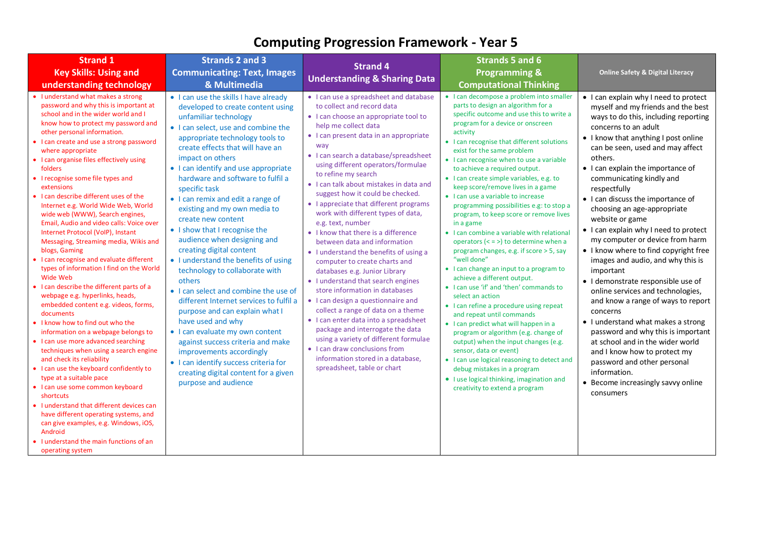<span id="page-3-0"></span>

| <b>Strand 1</b>                                                                                                                                                                                                                                                                                                                                                                                                                                                                                                                                                                                                                                                                                                                                                                                                                                                                                                                                                                                                                                                                                                                                                                                                                                                                                                                                                                                     | <b>Strands 2 and 3</b>                                                                                                                                                                                                                                                                                                                                                                                                                                                                                                                                                                                                                                                                                                                                                                                                                                                                                                                                                 | <b>Strand 4</b>                                                                                                                                                                                                                                                                                                                                                                                                                                                                                                                                                                                                                                                                                                                                                                                                                                                                                                                                                                                                                                    | <b>Strands 5 and 6</b>                                                                                                                                                                                                                                                                                                                                                                                                                                                                                                                                                                                                                                                                                                                                                                                                                                                                                                                                                                                                                                                                                                                                                                                                                            |                                                                                                                                                                                                                                                                                                                                                                                                                                                                                                                                                                                                                                                                                                                                                                                                                                                                                                                                                                  |
|-----------------------------------------------------------------------------------------------------------------------------------------------------------------------------------------------------------------------------------------------------------------------------------------------------------------------------------------------------------------------------------------------------------------------------------------------------------------------------------------------------------------------------------------------------------------------------------------------------------------------------------------------------------------------------------------------------------------------------------------------------------------------------------------------------------------------------------------------------------------------------------------------------------------------------------------------------------------------------------------------------------------------------------------------------------------------------------------------------------------------------------------------------------------------------------------------------------------------------------------------------------------------------------------------------------------------------------------------------------------------------------------------------|------------------------------------------------------------------------------------------------------------------------------------------------------------------------------------------------------------------------------------------------------------------------------------------------------------------------------------------------------------------------------------------------------------------------------------------------------------------------------------------------------------------------------------------------------------------------------------------------------------------------------------------------------------------------------------------------------------------------------------------------------------------------------------------------------------------------------------------------------------------------------------------------------------------------------------------------------------------------|----------------------------------------------------------------------------------------------------------------------------------------------------------------------------------------------------------------------------------------------------------------------------------------------------------------------------------------------------------------------------------------------------------------------------------------------------------------------------------------------------------------------------------------------------------------------------------------------------------------------------------------------------------------------------------------------------------------------------------------------------------------------------------------------------------------------------------------------------------------------------------------------------------------------------------------------------------------------------------------------------------------------------------------------------|---------------------------------------------------------------------------------------------------------------------------------------------------------------------------------------------------------------------------------------------------------------------------------------------------------------------------------------------------------------------------------------------------------------------------------------------------------------------------------------------------------------------------------------------------------------------------------------------------------------------------------------------------------------------------------------------------------------------------------------------------------------------------------------------------------------------------------------------------------------------------------------------------------------------------------------------------------------------------------------------------------------------------------------------------------------------------------------------------------------------------------------------------------------------------------------------------------------------------------------------------|------------------------------------------------------------------------------------------------------------------------------------------------------------------------------------------------------------------------------------------------------------------------------------------------------------------------------------------------------------------------------------------------------------------------------------------------------------------------------------------------------------------------------------------------------------------------------------------------------------------------------------------------------------------------------------------------------------------------------------------------------------------------------------------------------------------------------------------------------------------------------------------------------------------------------------------------------------------|
| <b>Key Skills: Using and</b>                                                                                                                                                                                                                                                                                                                                                                                                                                                                                                                                                                                                                                                                                                                                                                                                                                                                                                                                                                                                                                                                                                                                                                                                                                                                                                                                                                        | <b>Communicating: Text, Images</b>                                                                                                                                                                                                                                                                                                                                                                                                                                                                                                                                                                                                                                                                                                                                                                                                                                                                                                                                     |                                                                                                                                                                                                                                                                                                                                                                                                                                                                                                                                                                                                                                                                                                                                                                                                                                                                                                                                                                                                                                                    | <b>Programming &amp;</b>                                                                                                                                                                                                                                                                                                                                                                                                                                                                                                                                                                                                                                                                                                                                                                                                                                                                                                                                                                                                                                                                                                                                                                                                                          | <b>Online Safety &amp; Digital Literacy</b>                                                                                                                                                                                                                                                                                                                                                                                                                                                                                                                                                                                                                                                                                                                                                                                                                                                                                                                      |
| understanding technology                                                                                                                                                                                                                                                                                                                                                                                                                                                                                                                                                                                                                                                                                                                                                                                                                                                                                                                                                                                                                                                                                                                                                                                                                                                                                                                                                                            | & Multimedia                                                                                                                                                                                                                                                                                                                                                                                                                                                                                                                                                                                                                                                                                                                                                                                                                                                                                                                                                           | <b>Understanding &amp; Sharing Data</b>                                                                                                                                                                                                                                                                                                                                                                                                                                                                                                                                                                                                                                                                                                                                                                                                                                                                                                                                                                                                            | <b>Computational Thinking</b>                                                                                                                                                                                                                                                                                                                                                                                                                                                                                                                                                                                                                                                                                                                                                                                                                                                                                                                                                                                                                                                                                                                                                                                                                     |                                                                                                                                                                                                                                                                                                                                                                                                                                                                                                                                                                                                                                                                                                                                                                                                                                                                                                                                                                  |
| • I understand what makes a strong<br>password and why this is important at<br>school and in the wider world and I<br>know how to protect my password and<br>other personal information.<br>• I can create and use a strong password<br>where appropriate<br>• I can organise files effectively using<br>folders<br>• I recognise some file types and<br>extensions<br>• I can describe different uses of the<br>Internet e.g. World Wide Web, World<br>wide web (WWW), Search engines,<br>Email, Audio and video calls: Voice over<br>Internet Protocol (VoIP), Instant<br>Messaging, Streaming media, Wikis and<br>blogs, Gaming<br>• I can recognise and evaluate different<br>types of information I find on the World<br>Wide Web<br>• I can describe the different parts of a<br>webpage e.g. hyperlinks, heads,<br>embedded content e.g. videos, forms,<br>documents<br>• I know how to find out who the<br>information on a webpage belongs to<br>• I can use more advanced searching<br>techniques when using a search engine<br>and check its reliability<br>• I can use the keyboard confidently to<br>type at a suitable pace<br>• I can use some common keyboard<br>shortcuts<br>• I understand that different devices can<br>have different operating systems, and<br>can give examples, e.g. Windows, iOS,<br>Android<br>• I understand the main functions of an<br>operating system | • I can use the skills I have already<br>developed to create content using<br>unfamiliar technology<br>• I can select, use and combine the<br>appropriate technology tools to<br>create effects that will have an<br>impact on others<br>• I can identify and use appropriate<br>hardware and software to fulfil a<br>specific task<br>• I can remix and edit a range of<br>existing and my own media to<br>create new content<br>• I show that I recognise the<br>audience when designing and<br>creating digital content<br>• I understand the benefits of using<br>technology to collaborate with<br>others<br>• I can select and combine the use of<br>different Internet services to fulfil a<br>purpose and can explain what I<br>have used and why<br>• I can evaluate my own content<br>against success criteria and make<br>improvements accordingly<br>• I can identify success criteria for<br>creating digital content for a given<br>purpose and audience | • I can use a spreadsheet and database<br>to collect and record data<br>• I can choose an appropriate tool to<br>help me collect data<br>• I can present data in an appropriate<br>way<br>· I can search a database/spreadsheet<br>using different operators/formulae<br>to refine my search<br>• I can talk about mistakes in data and<br>suggest how it could be checked.<br>• I appreciate that different programs<br>work with different types of data,<br>e.g. text, number<br>• I know that there is a difference<br>between data and information<br>• I understand the benefits of using a<br>computer to create charts and<br>databases e.g. Junior Library<br>• I understand that search engines<br>store information in databases<br>• I can design a questionnaire and<br>collect a range of data on a theme<br>• I can enter data into a spreadsheet<br>package and interrogate the data<br>using a variety of different formulae<br>• I can draw conclusions from<br>information stored in a database.<br>spreadsheet, table or chart | • I can decompose a problem into smaller<br>parts to design an algorithm for a<br>specific outcome and use this to write a<br>program for a device or onscreen<br>activity<br>• I can recognise that different solutions<br>exist for the same problem<br>• I can recognise when to use a variable<br>to achieve a required output.<br>• I can create simple variables, e.g. to<br>keep score/remove lives in a game<br>• I can use a variable to increase<br>programming possibilities e.g: to stop a<br>program, to keep score or remove lives<br>in a game<br>• I can combine a variable with relational<br>operators $(< = >)$ to determine when a<br>program changes, e.g. if score > 5, say<br>"well done"<br>• I can change an input to a program to<br>achieve a different output.<br>• I can use 'if' and 'then' commands to<br>select an action<br>• I can refine a procedure using repeat<br>and repeat until commands<br>• I can predict what will happen in a<br>program or algorithm (e.g. change of<br>output) when the input changes (e.g.<br>sensor, data or event)<br>• I can use logical reasoning to detect and<br>debug mistakes in a program<br>• I use logical thinking, imagination and<br>creativity to extend a program | • I can explain why I need to protect<br>myself and my friends and the best<br>ways to do this, including reporting<br>concerns to an adult<br>• I know that anything I post online<br>can be seen, used and may affect<br>others.<br>• I can explain the importance of<br>communicating kindly and<br>respectfully<br>• I can discuss the importance of<br>choosing an age-appropriate<br>website or game<br>• I can explain why I need to protect<br>my computer or device from harm<br>• I know where to find copyright free<br>images and audio, and why this is<br>important<br>• I demonstrate responsible use of<br>online services and technologies,<br>and know a range of ways to report<br>concerns<br>• I understand what makes a strong<br>password and why this is important<br>at school and in the wider world<br>and I know how to protect my<br>password and other personal<br>information.<br>• Become increasingly savvy online<br>consumers |